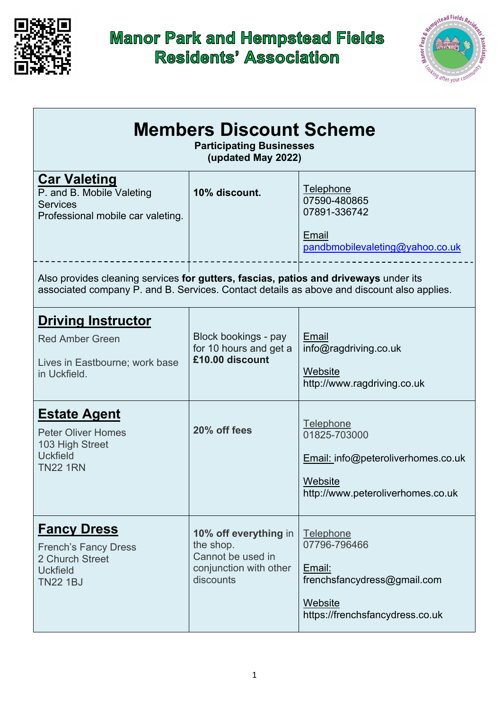

## **Manor Park and Hempstead Fields<br>Residents' Association**



| <b>Members Discount Scheme</b><br><b>Participating Businesses</b><br>(updated May 2022)                                                                                                                            |                                                                                                |                                                                                                                                                    |  |  |
|--------------------------------------------------------------------------------------------------------------------------------------------------------------------------------------------------------------------|------------------------------------------------------------------------------------------------|----------------------------------------------------------------------------------------------------------------------------------------------------|--|--|
| <b>Car Valeting</b><br>P. and B. Mobile Valeting<br><b>Services</b><br>Professional mobile car valeting.                                                                                                           | 10% discount.                                                                                  | Telephone<br>07590-480865<br>07891-336742<br>Email<br>pandbmobilevaleting@yahoo.co.uk                                                              |  |  |
| Also provides cleaning services for gutters, fascias, patios and driveways under its<br>associated company P. and B. Services. Contact details as above and discount also applies.                                 |                                                                                                |                                                                                                                                                    |  |  |
| <b>Driving Instructor</b><br><b>Red Amber Green</b><br>Lives in Eastbourne; work base<br>in Uckfield.<br><b>Estate Agent</b><br><b>Peter Oliver Homes</b><br>103 High Street<br><b>Uckfield</b><br><b>TN22 1RN</b> | Block bookings - pay<br>for 10 hours and get a<br>£10.00 discount<br>20% off fees              | Email<br>info@ragdriving.co.uk<br>Website<br>http://www.ragdriving.co.uk<br><b>Telephone</b><br>01825-703000<br>Email: info@peteroliverhomes.co.uk |  |  |
|                                                                                                                                                                                                                    |                                                                                                | Website<br>http://www.peteroliverhomes.co.uk                                                                                                       |  |  |
| <b>Fancy Dress</b><br><b>French's Fancy Dress</b><br>2 Church Street<br><b>Uckfield</b><br><b>TN22 1BJ</b>                                                                                                         | 10% off everything in<br>the shop.<br>Cannot be used in<br>conjunction with other<br>discounts | <b>Telephone</b><br>07796-796466<br>Email:<br>frenchsfancydress@gmail.com<br>Website<br>https://frenchsfancydress.co.uk                            |  |  |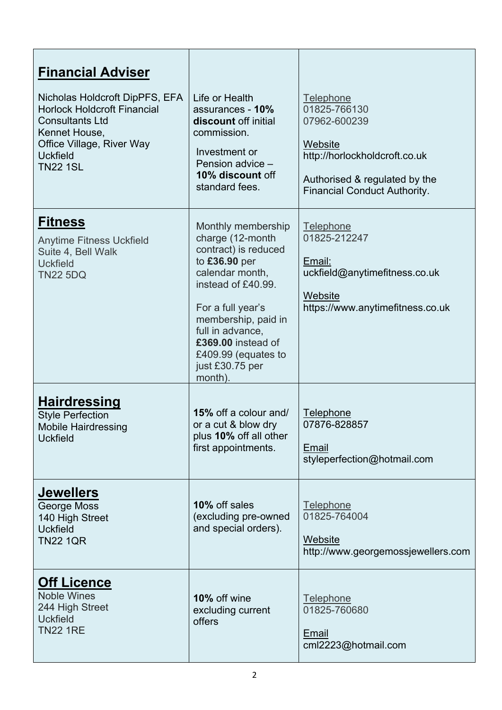| <b>Financial Adviser</b><br>Nicholas Holdcroft DipPFS, EFA<br><b>Horlock Holdcroft Financial</b><br><b>Consultants Ltd</b><br>Kennet House,<br>Office Village, River Way<br><b>Uckfield</b><br><b>TN22 1SL</b> | Life or Health<br>assurances - 10%<br>discount off initial<br>commission.<br>Investment or<br>Pension advice -<br>10% discount off<br>standard fees.                                                                                                                | Telephone<br>01825-766130<br>07962-600239<br>Website<br>http://horlockholdcroft.co.uk<br>Authorised & regulated by the<br><b>Financial Conduct Authority.</b> |
|----------------------------------------------------------------------------------------------------------------------------------------------------------------------------------------------------------------|---------------------------------------------------------------------------------------------------------------------------------------------------------------------------------------------------------------------------------------------------------------------|---------------------------------------------------------------------------------------------------------------------------------------------------------------|
| <b>Fitness</b><br><b>Anytime Fitness Uckfield</b><br>Suite 4, Bell Walk<br><b>Uckfield</b><br><b>TN22 5DQ</b>                                                                                                  | Monthly membership<br>charge (12-month<br>contract) is reduced<br>to £36.90 per<br>calendar month,<br>instead of £40.99.<br>For a full year's<br>membership, paid in<br>full in advance,<br>£369.00 instead of<br>£409.99 (equates to<br>just £30.75 per<br>month). | Telephone<br>01825-212247<br>Email:<br>uckfield@anytimefitness.co.uk<br>Website<br>https://www.anytimefitness.co.uk                                           |
| <u>Hairdressing</u><br><b>Style Perfection</b><br><b>Mobile Hairdressing</b><br><b>Uckfield</b>                                                                                                                | 15% off a colour and/<br>or a cut & blow dry<br>plus 10% off all other<br>first appointments.                                                                                                                                                                       | Telephone<br>07876-828857<br>Email<br>styleperfection@hotmail.com                                                                                             |
| <u>Jewellers</u><br>George Moss<br>140 High Street<br><b>Uckfield</b><br><b>TN22 1QR</b>                                                                                                                       | 10% off sales<br>(excluding pre-owned<br>and special orders).                                                                                                                                                                                                       | Telephone<br>01825-764004<br>Website<br>http://www.georgemossjewellers.com                                                                                    |
| <b>Off Licence</b><br><b>Noble Wines</b><br>244 High Street<br><b>Uckfield</b><br><b>TN22 1RE</b>                                                                                                              | 10% off wine<br>excluding current<br>offers                                                                                                                                                                                                                         | Telephone<br>01825-760680<br>Email<br>cml2223@hotmail.com                                                                                                     |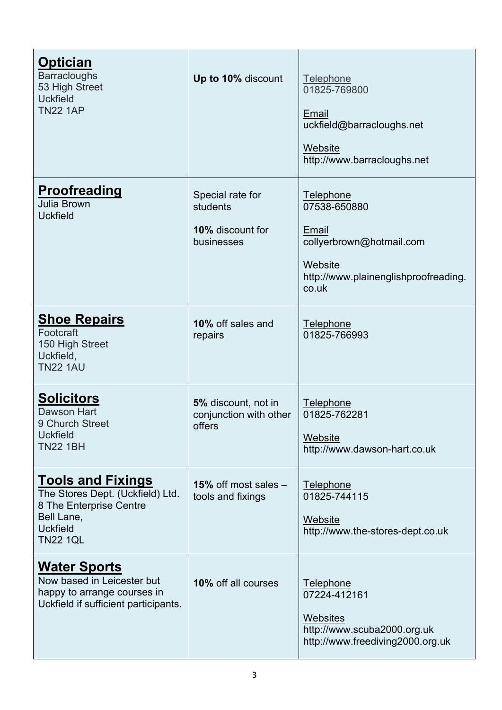| <u>Optician</u><br><b>Barracloughs</b><br>53 High Street<br><b>Uckfield</b><br><b>TN22 1AP</b>                                              | Up to 10% discount                                             | Telephone<br>01825-769800<br>Email<br>uckfield@barracloughs.net<br>Website<br>http://www.barracloughs.net                  |
|---------------------------------------------------------------------------------------------------------------------------------------------|----------------------------------------------------------------|----------------------------------------------------------------------------------------------------------------------------|
| <b>Proofreading</b><br>Julia Brown<br><b>Uckfield</b>                                                                                       | Special rate for<br>students<br>10% discount for<br>businesses | Telephone<br>07538-650880<br>Email<br>collyerbrown@hotmail.com<br>Website<br>http://www.plainenglishproofreading.<br>co.uk |
| <b>Shoe Repairs</b><br>Footcraft<br>150 High Street<br>Uckfield,<br><b>TN22 1AU</b>                                                         | 10% off sales and<br>repairs                                   | Telephone<br>01825-766993                                                                                                  |
| <b>Solicitors</b><br><b>Dawson Hart</b><br>9 Church Street<br><b>Uckfield</b><br><b>TN22 1BH</b>                                            | 5% discount, not in<br>conjunction with other<br>offers        | <b>Telephone</b><br>01825-762281<br>Website<br>http://www.dawson-hart.co.uk                                                |
| <b>Tools and Fixings</b><br>The Stores Dept. (Uckfield) Ltd.<br>8 The Enterprise Centre<br>Bell Lane,<br><b>Uckfield</b><br><b>TN22 1QL</b> | 15% off most sales $-$<br>tools and fixings                    | Telephone<br>01825-744115<br>Website<br>http://www.the-stores-dept.co.uk                                                   |
| <b>Water Sports</b><br>Now based in Leicester but<br>happy to arrange courses in<br>Uckfield if sufficient participants.                    | <b>10% off all courses</b>                                     | <b>Telephone</b><br>07224-412161<br>Websites<br>http://www.scuba2000.org.uk<br>http://www.freediving2000.org.uk            |